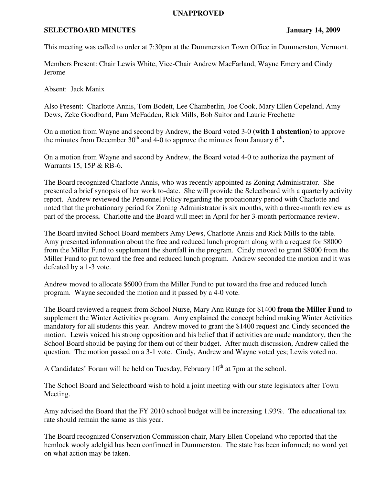## **UNAPPROVED**

## **SELECTBOARD MINUTES** January 14, 2009

This meeting was called to order at 7:30pm at the Dummerston Town Office in Dummerston, Vermont.

Members Present: Chair Lewis White, Vice-Chair Andrew MacFarland, Wayne Emery and Cindy Jerome

Absent: Jack Manix

Also Present: Charlotte Annis, Tom Bodett, Lee Chamberlin, Joe Cook, Mary Ellen Copeland, Amy Dews, Zeke Goodband, Pam McFadden, Rick Mills, Bob Suitor and Laurie Frechette

On a motion from Wayne and second by Andrew, the Board voted 3-0 **(with 1 abstention)** to approve the minutes from December  $30<sup>th</sup>$  and 4-0 to approve the minutes from January  $6<sup>th</sup>$ .

On a motion from Wayne and second by Andrew, the Board voted 4-0 to authorize the payment of Warrants 15, 15P & RB-6.

The Board recognized Charlotte Annis, who was recently appointed as Zoning Administrator. She presented a brief synopsis of her work to-date. She will provide the Selectboard with a quarterly activity report. Andrew reviewed the Personnel Policy regarding the probationary period with Charlotte and noted that the probationary period for Zoning Administrator is six months, with a three-month review as part of the process**.** Charlotte and the Board will meet in April for her 3-month performance review.

The Board invited School Board members Amy Dews, Charlotte Annis and Rick Mills to the table. Amy presented information about the free and reduced lunch program along with a request for \$8000 from the Miller Fund to supplement the shortfall in the program. Cindy moved to grant \$8000 from the Miller Fund to put toward the free and reduced lunch program. Andrew seconded the motion and it was defeated by a 1-3 vote.

Andrew moved to allocate \$6000 from the Miller Fund to put toward the free and reduced lunch program. Wayne seconded the motion and it passed by a 4-0 vote.

The Board reviewed a request from School Nurse, Mary Ann Runge for \$1400 **from the Miller Fund** to supplement the Winter Activities program. Amy explained the concept behind making Winter Activities mandatory for all students this year. Andrew moved to grant the \$1400 request and Cindy seconded the motion. Lewis voiced his strong opposition and his belief that if activities are made mandatory, then the School Board should be paying for them out of their budget. After much discussion, Andrew called the question. The motion passed on a 3-1 vote. Cindy, Andrew and Wayne voted yes; Lewis voted no.

A Candidates' Forum will be held on Tuesday, February  $10<sup>th</sup>$  at 7pm at the school.

The School Board and Selectboard wish to hold a joint meeting with our state legislators after Town Meeting.

Amy advised the Board that the FY 2010 school budget will be increasing 1.93%. The educational tax rate should remain the same as this year.

The Board recognized Conservation Commission chair, Mary Ellen Copeland who reported that the hemlock wooly adelgid has been confirmed in Dummerston. The state has been informed; no word yet on what action may be taken.